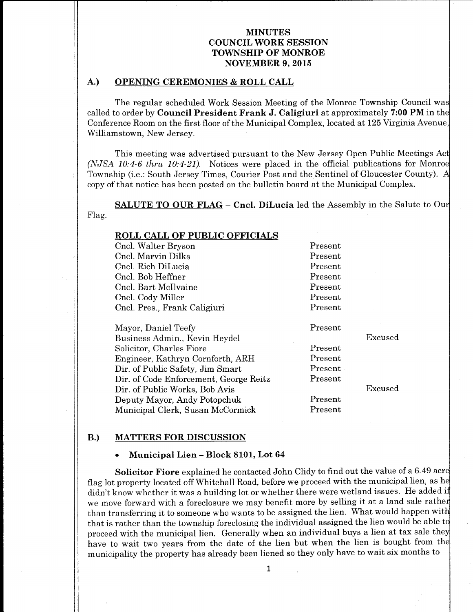### A.) OPENING CEREMONIES & ROLL CALL

The regular scheduled Work Session Meeting of the Monroe Township Council was called to order by **Council President Frank J. Caligiuri** at approximately 7:00 PM in the Conference Room on the first floor of the Municipal Complex, located at 125 Virginia Avenue, Williamstown, New Jersey.

This meeting was advertised pursuant to the New Jersey Open Public Meetings Act  $(NJSA\ 10:4-6\$  thru  $10:4-21$ ). Notices were placed in the official publications for Monroe Township (i.e.: South Jersey Times, Courier Post and the Sentinel of Gloucester County). A copy of that notice has been posted on the bulletin board at the Municipal Complex.

SALUTE TO OUR FLAG — Cncl. DiLucia led the Assembly in the Salute to Our Flag.

| <b>ROLL CALL OF PUBLIC OFFICIALS</b>   |         |         |
|----------------------------------------|---------|---------|
| Cncl. Walter Bryson                    | Present |         |
| Cncl. Marvin Dilks                     | Present |         |
| Cncl. Rich DiLucia                     | Present |         |
| Cncl. Bob Heffner                      | Present |         |
| Cncl. Bart McIlvaine                   | Present |         |
| Cncl. Cody Miller                      | Present |         |
| Cncl. Pres., Frank Caligiuri           | Present |         |
|                                        |         |         |
| Mayor, Daniel Teefy                    | Present |         |
| Business Admin., Kevin Heydel          |         | Excused |
| Solicitor, Charles Fiore               | Present |         |
| Engineer, Kathryn Cornforth, ARH       | Present |         |
| Dir. of Public Safety, Jim Smart       | Present |         |
| Dir. of Code Enforcement, George Reitz | Present |         |
| Dir. of Public Works, Bob Avis         |         | Excused |
| Deputy Mayor, Andy Potopchuk           | Present |         |
| Municipal Clerk, Susan McCormick       | Present |         |

#### B.) MATTERS FOR DISCUSSION

#### Municipal Lien—Block 8101, Lot 64

Solicitor Fiore explained he contacted John Clidy to find out the value of a 6.49 acre flag lot property located off Whitehall Road, before we proceed with the municipal lien, as h didn't know whether it was a building lot or whether there were wetland issues. He added if we move forward with <sup>a</sup> foreclosure we may benefit more by selling it at <sup>a</sup> land sale rathe than transferring it to someone who wants to be assigned the lien. What would happen wit that is rather than the township foreclosing the individual assigned the lien would be able to proceed with the municipal lien. Generally when an individual buys <sup>a</sup> lien at tax sale the have to wait two years from the date of the lien but when the lien is bought from the municipality the property has already been liened so they only have to wait six months to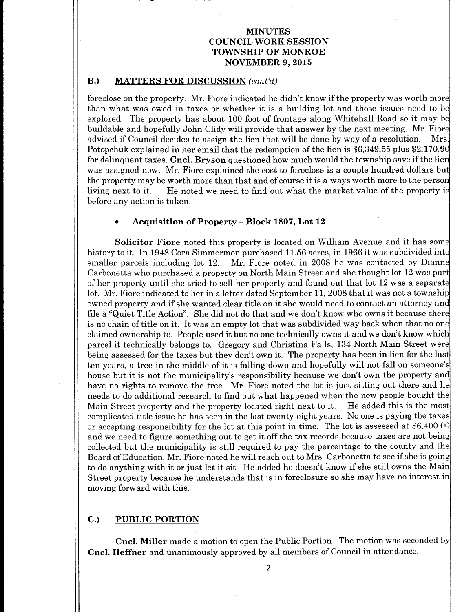### B.) MATTERS FOR DISCUSSION (cont'd)

foreclose on the property. Mr. Fiore indicated he didn't know if the property was worth more than what was owed in taxes or whether it is a building lot and those issues need to be explored. The property has about 100 foot of frontage along Whitehall Road so it may be buildable and hopefully John Clidy will provide that answer by the next meeting. Mr. Fiore<br>advised if Council decides to assign the lien that will be done by way of a resolution. Mrs. advised if Council decides to assign the lien that will be done by way of a resolution. Potopchuk explained in her email that the redemption of the lien is \$6,349.55 plus \$2,170.90 for delinquent taxes. Cncl. Bryson questioned how much would the township save if the lien was assigned now. Mr. Fiore explained the cost to foreclose is a couple hundred dollars but the property may be worth more than that and of course it is always worth more to the person<br>living next to it. He noted we need to find out what the market value of the property is He noted we need to find out what the market value of the property is before any action is taken.

#### Acquisition of Property - Block 1807, Lot 12

Solicitor Fiore noted this property is located on William Avenue and it has some history to it. In 1948 Cora Simmermon purchased 11.56 acres, in 1966 it was subdivided into<br>smaller parcels including lot 12. Mr. Fiore noted in 2008 he was contacted by Dianne Mr. Fiore noted in 2008 he was contacted by Dianne Carbonetta who purchased a property on North Main Street and she thought lot 12 was par of her property until she tried to sell her property and found out that lot <sup>12</sup> was a separate lot. Mr. Fiore indicated to her in <sup>a</sup> letter dated September 11, 2008 that it was not <sup>a</sup> township owned property and if she wanted clear title on it she would need to contact an attorney and file a "Quiet Title Action". She did not do that and we don't know who owns it because there is no chain of title on it. It was an empty lot that was subdivided way back when that no one claimed ownership to. People used it but no one technically owns it and we don't know whic parcel it technically belongs to. Gregory and Christina Falls, 134 North Main Street were being assessed for the taxes but they don't own it. The property has been in lien for the last ten years, a tree in the middle of it is falling down and hopefully will not fall on someone' <sup>s</sup> house but it is not the municipality's responsibility because we don't own the property and have no rights to remove the tree. Mr. Fiore noted the lot is just sitting out there and he needs to do additional research to find out what happened when the new people bought the Main Street property and the property located right next to it. He added this is the most complicated title issue he has seen in the last twenty-eight years. No one is paying the taxes or accepting responsibility for the lot at this point in time. The lot is assessed at \$6, 400.00 and we need to figure something out to get it off the tax records because taxes are not being collected but the municipality is still required to pay the percentage to the county and the Board of Education. Mr. Fiore noted he will reach out to Mrs. Carbonetta to see if she is going to do anything with it or just let it sit. He added he doesn't know if she still owns the Main Street property because he understands that is in foreclosure so she may have no interest in moving forward with this.

# C.) PUBLIC PORTION

Cncl. Miller made <sup>a</sup> motion to open the Public Portion. The motion was seconded by Cncl. Heffner and unanimously approved by all members of Council in attendance.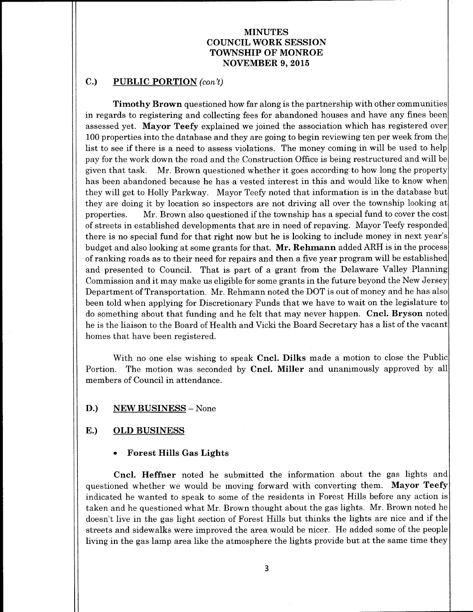# C.) PUBLIC PORTION (con't)

Timothy Brown questioned how far along is the partnership with other communities in regards to registering and collecting fees for abandoned houses and have any fines been assessed yet. Mayor Teefy explained we joined the association which has registered over 100 properties into the database and they are going to begin reviewing ten per week from the list to see if there is <sup>a</sup> need to assess violations. The money coming in will be used to help pay for the work down the road and the Construction Office is being restructured and will be given that task. Mr. Brown questioned whether it goes according to how long the property has been abandoned because he has a vested interest in this and would like to know when they will get to Holly Parkway. Mayor Teefy noted that information is in the database but they are doing it by location so inspectors are not driving all over the township looking at properties. Mr. Brown also questioned if the township has <sup>a</sup> special fund to cover the cost of streets in established developments that are in need of repaving. Mayor Teefy responded there is no special fund for that right now but he is looking to include money in next year's budget and also looking at some grants for that. Mr. Rehmann added ARH is in the process of ranking roads as to their need for repairs and then <sup>a</sup> five year program will be established and presented to Council. That is part of a grant from the Delaware Valley Planning Commission and it may make us eligible for some grants in the future beyond the New Jersey Department of Transportation. Mr. Rehmann noted the DOT is out of money and he has also been told when applying for Discretionary Funds that we have to wait on the legislature to do something about that funding and he felt that may never happen. Cncl. Bryson noted he is the liaison to the Board of Health and Vicki the Board Secretary has a list of the vacant homes that have been registered.

With no one else wishing to speak Cncl. Dilks made a motion to close the Public Portion. The motion was seconded by **Cncl. Miller** and unanimously approved by all members of Council in attendance.

#### D.) NEW BUSINESS - None

#### E.) OLD BUSINESS

#### Forest Hills Gas Lights

Cncl. Heffner noted he submitted the information about the gas lights and questioned whether we would be moving forward with converting them. Mayor Teefy indicated he wanted to speak to some of the residents in Forest Hills before any action is taken and he questioned what Mr. Brown thought about the gas lights. Mr. Brown noted he doesn't live in the gas light section of Forest Hills but thinks the lights are nice and if the streets and sidewalks were improved the area would be nicer. He added some of the people living in the gas lamp area like the atmosphere the lights provide but at the same time they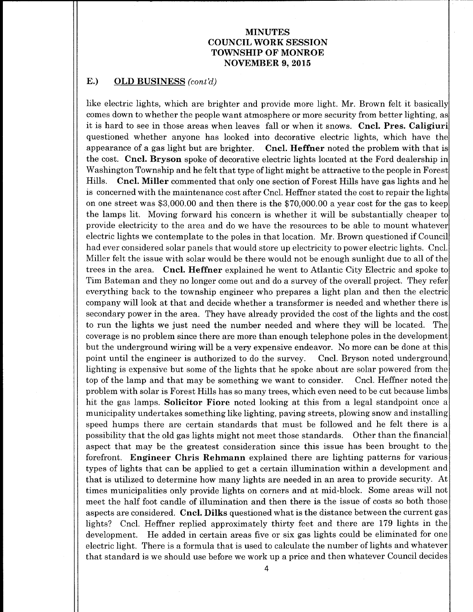### E.) OLD BUSINESS (cont'd)

like electric lights, which are brighter and provide more light. Mr. Brown felt it basically comes down to whether the people want atmosphere or more security from better lighting, as it is hard to see in those areas when leaves fall or when it snows. Cncl. Pres. Caligiuri questioned whether anyone has looked into decorative electric lights, which have the appearance of a gas light but are brighter. Cncl. Heffner noted the problem with that is the cost. Cncl. Bryson spoke of decorative electric lights located at the Ford dealership in Washington Township and he felt that type of light might be attractive to the people in Forest Hills. Cncl. Miller commented that only one section of Forest Hills have gas lights and he is concerned with the maintenance cost after Cncl. Heffner stated the cost to repair the lights on one street was \$3,000.00 and then there is the \$70,000.00 a year cost for the gas to keep the lamps lit. Moving forward his concern is whether it will be substantially cheaper to provide electricity to the area and do we have the resources to be able to mount whatever electric lights we contemplate to the poles in that location. Mr. Brown questioned if Council had ever considered solar panels that would store up electricity to power electric lights. Cncl. Miller felt the issue with solar would be there would not be enough sunlight due to all of the trees in the area. Cncl. Heffner explained he went to Atlantic City Electric and spoke to Tim Bateman and they no longer come out and do a survey of the overall project. They refer everything back to the township engineer who prepares a light plan and then the electric company will look at that and decide whether a transformer is needed and whether there is secondary power in the area. They have already provided the cost of the lights and the cost to run the lights we just need the number needed and where they will be located. The coverage is no problem since there are more than enough telephone poles in the development but the underground wiring will be <sup>a</sup> very expensive endeavor. No more can be done at this point until the engineer is authorized to do the survey. Cncl. Bryson noted underground lighting is expensive but some of the lights that he spoke about are solar powered from the top of the lamp and that may be something we want to consider. Cncl. Heffner noted the problem with solar is Forest Hills has so many trees, which even need to be cut because limbs hit the gas lamps. **Solicitor Fiore** noted looking at this from a legal standpoint once a municipality undertakes something like lighting, paving streets, plowing snow and installing speed humps there are certain standards that must be followed and he felt there is a possibility that the old gas lights might not meet those standards. Other than the financial aspect that may be the greatest consideration since this issue has been brought to the forefront. Engineer Chris Rehmann explained there are lighting patterns for various types of lights that can be applied to get a certain illumination within a development and that is utilized to determine how many lights are needed in an area to provide security. At times municipalities only provide lights on corners and at mid-block. Some areas will not meet the half foot candle of illumination and then there is the issue of costs so both those aspects are considered. Cncl. Dilks questioned what is the distance between the current gas lights? Cncl. Heffner replied approximately thirty feet and there are <sup>179</sup> lights in the development. He added in certain areas five or six gas lights could be eliminated for one electric light. There is a formula that is used to calculate the number of lights and whatever that standard is we should use before we work up a price and then whatever Council decides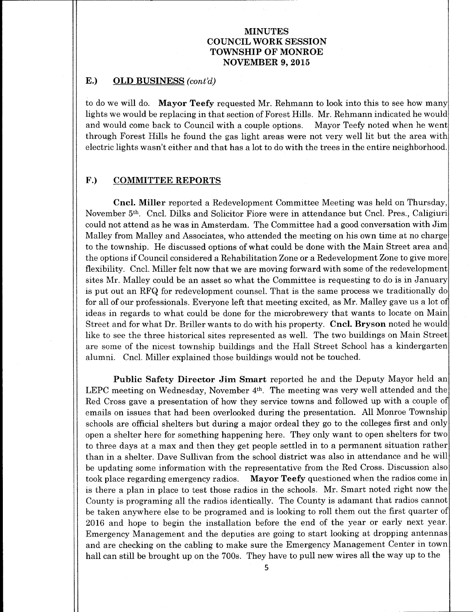## E.) OLD BUSINESS (cont'd)

to do we will do. Mayor Teefy requested Mr. Rehmann to look into this to see how many lights we would be replacing in that section of Forest Hills. Mr. Rehmann indicated he would and would come back to Council with <sup>a</sup> couple options. Mayor Teefy noted when he went through Forest Hills he found the gas light areas were not very well lit but the area with electric lights wasn't either and that has a lot to do with the trees in the entire neighborhood.

#### F.) COMMITTEE REPORTS

Cncl. Miller reported <sup>a</sup> Redevelopment Committee Meeting was held on Thursday, November 5th. Cncl. Dilks and Solicitor Fiore were in attendance but Cncl. Pres., Caligiuri could not attend as he was in Amsterdam. The Committee had a good conversation with Jim Malley from Malley and Associates, who attended the meeting on his own time at no charge to the township. He discussed options of what could be done with the Main Street area and the options if Council considered <sup>a</sup> Rehabilitation Zone or <sup>a</sup> Redevelopment Zone to give more flexibility. Cncl. Miller felt now that we are moving forward with some of the redevelopment sites Mr. Malley could be an asset so what the Committee is requesting to do is in January is put out an RFQ for redevelopment counsel. That is the same process we traditionally do for all of our professionals. Everyone left that meeting excited, as Mr. Malley gave us a lot of ideas in regards to what could be done for the microbrewery that wants to locate on Main Street and for what Dr. Briller wants to do with his property. Cncl. Bryson noted he would like to see the three historical sites represented as well. The two buildings on Main Street are some of the nicest township buildings and the Hall Street School has a kindergarten alumni. Cncl. Miller explained those buildings would not be touched.

Public Safety Director Jim Smart reported he and the Deputy Mayor held an LEPC meeting on Wednesday, November 4<sup>th</sup>. The meeting was very well attended and the Red Cross gave a presentation of how they service towns and followed up with a couple of emails on issues that had been overlooked during the presentation. All Monroe Township schools are official shelters but during a major ordeal they go to the colleges first and only open <sup>a</sup> shelter here for something happening here. They only want to open shelters for two to three days at a max and then they get people settled in to a permanent situation rather than in <sup>a</sup> shelter. Dave Sullivan from the school district was also in attendance and he will be updating some information with the representative from the Red Cross. Discussion also took place regarding emergency radios. Mayor Teefy questioned when the radios come in is there <sup>a</sup> plan in place to test those radios in the schools. Mr. Smart noted right now the County is programing all the radios identically. The County is adamant that radios cannot be taken anywhere else to be programed and is looking to roll them out the first quarter of 2016 and hope to begin the installation before the end of the year or early next year. Emergency Management and the deputies are going to start looking at dropping antennas and are checking on the cabling to make sure the Emergency Management Center in town hall can still be brought up on the 700s. They have to pull new wires all the way up to the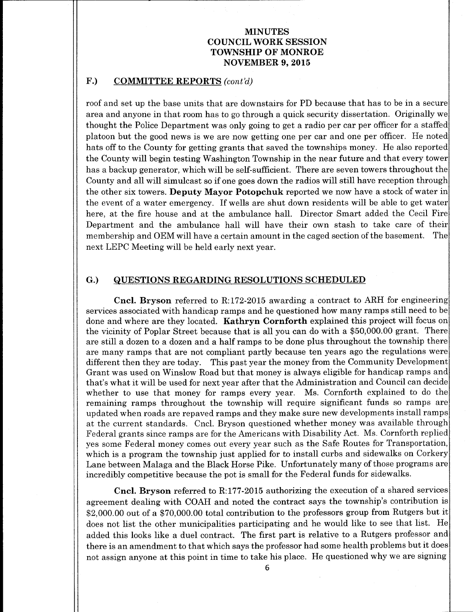## F.) COMMITTEE REPORTS (cont'd)

roof and set up the base units that are downstairs for PD because that has to be in a secure area and anyone in that room has to go through a quick security dissertation. Originally we thought the Police Department was only going to get a radio per car per officer for a staffed platoon but the good news is we are now getting one per car and one per officer. He noted hats off to the County for getting grants that saved the townships money. He also reported the County will begin testing Washington Township in the near future and that every tower has <sup>a</sup> backup generator, which will be self-sufficient. There are seven towers throughout the County and all will simulcast so if one goes down the radios will still have reception through the other six towers. Deputy Mayor Potopchuk reported we now have <sup>a</sup> stock of water in the event of <sup>a</sup> water emergency. If wells are shut down residents will be able to get water here, at the fire house and at the ambulance hall. Director Smart added the Cecil Fire Department and the ambulance hall will have their own stash to take care of their membership and OEM will have <sup>a</sup> certain amount in the caged section of the basement. The next LEPC Meeting will be held early next year.

#### G.) QUESTIONS REGARDING RESOLUTIONS SCHEDULED

Cncl. Bryson referred to R:172-2015 awarding a contract to ARH for engineering services associated with handicap ramps and he questioned how many ramps still need to be done and where are they located. Kathryn Cornforth explained this project will focus on the vicinity of Poplar Street because that is all you can do with a \$50,000.00 grant. There are still a dozen to a dozen and a half ramps to be done plus throughout the township there are many ramps that are not compliant partly because ten years ago the regulations were. different then they are today. This past year the money from the Community Development Grant was used on Winslow Road but that money is always eligible for handicap ramps and that's what it will be used for next year after that the Administration and Council can decide whether to use that money for ramps every year. Ms. Cornforth explained to do the remaining ramps throughout the township will require significant funds so ramps are updated when roads are repaved ramps and they make sure new developments install ramps at the current standards. Cncl. Bryson questioned whether money was available through Federal grants since ramps are for the Americans with Disability Act. Ms. Cornforth replied yes some Federal money comes out every year such as the Safe Routes for Transportation, which is a program the township just applied for to install curbs and sidewalks on Corkery Lane between Malaga and the Black Horse Pike. Unfortunately many of those programs are incredibly competitive because the pot is small for the Federal funds for sidewalks.

Cncl. Bryson referred to R: 177- 2015 authorizing the execution of <sup>a</sup> shared services agreement dealing with COAH and noted the contract says the township's contribution is \$2,000.00 out of a \$70,000.00 total contribution to the professors group from Rutgers but it does not list the other municipalities participating and he would like to see that list. He added this looks like <sup>a</sup> duel contract. The first part is relative to a Rutgers professor and there is an amendment to that which says the professor had some health problems but it does not assign anyone at this point in time to take his place. He questioned why we are signing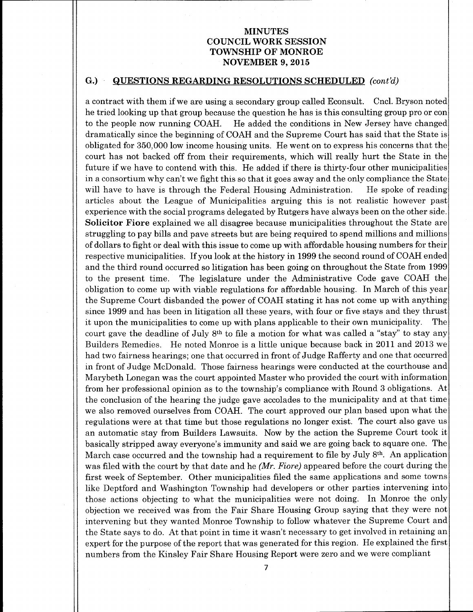### G.) QUESTIONS REGARDING RESOLUTIONS SCHEDULED (cont'd)

<sup>a</sup> contract with them if we are using <sup>a</sup> secondary group called Econsult. Cncl. Bryson noted he tried looking up that group because the question he has is this consulting group pro or con to the people now running COAH. He added the conditions in New Jersey have changed dramatically since the beginning of COAH and the Supreme Court has said that the State is obligated for 350,000 low income housing units. He went on to express his concerns that the court has not backed off from their requirements, which will really hurt the State in the future if we have to contend with this. He added if there is thirty-four other municipalities in <sup>a</sup> consortium why can't we fight this so that it goes away and the only compliance the State will have to have is through the Federal Housing Administration. He spoke of reading articles about the League of Municipalities arguing this is not realistic however past experience with the social programs delegated by Rutgers have always been on the other side. Solicitor Fiore explained we all disagree because municipalities throughout the State are struggling to pay bills and pave streets but are being required to spend millions and millions of dollars to fight or deal with this issue to come up with affordable housing numbers for their respective municipalities. If you look at the history in <sup>1999</sup> the second round of COAH ended and the third round occurred so litigation has been going on throughout the State from 1999 to the present time. The legislature under the Administrative Code gave COAH the obligation to come up with viable regulations for affordable housing. In March of this year the Supreme Court disbanded the power of COAH stating it has not come up with anything since 1999 and has been in litigation all these years, with four or five stays and they thrust it upon the municipalities to come up with plans applicable to their own municipality. The court gave the deadline of July  $8<sup>th</sup>$  to file a motion for what was called a "stay" to stay any Builders Remedies. He noted Monroe is a little unique because back in 2011 and 2013 we had two fairness hearings; one that occurred in front of Judge Rafferty and one that occurred in front of Judge McDonald. Those fairness hearings were conducted at the courthouse and Marybeth Lonegan was the court appointed Master who provided the court with information from her professional opinion as to the township's compliance with Round 3 obligations. At the conclusion of the hearing the judge gave accolades to the municipality and at that time we also removed ourselves from COAH. The court approved our plan based upon what the regulations were at that time but those regulations no longer exist. The court also gave us an automatic stay from Builders Lawsuits. Now by the action the Supreme Court took it basically stripped away everyone's immunity and said we are going back to square one. The March case occurred and the township had a requirement to file by July 8<sup>th</sup>. An application was filed with the court by that date and he  $(Mr.$  Fiore) appeared before the court during the first week of September. Other municipalities filed the same applications and some towns like Deptford and Washington Township had developers or other parties intervening into those actions objecting to what the municipalities were not doing. In Monroe the only objection we received was from the Fair Share Housing Group saying that they were not intervening but they wanted Monroe Township to follow whatever the Supreme Court and the State says to do. At that point in time it wasn't necessary to get involved in retaining an expert for the purpose of the report that was generated for this region. He explained the first numbers from the Kinsley Fair Share Housing Report were zero and we were compliant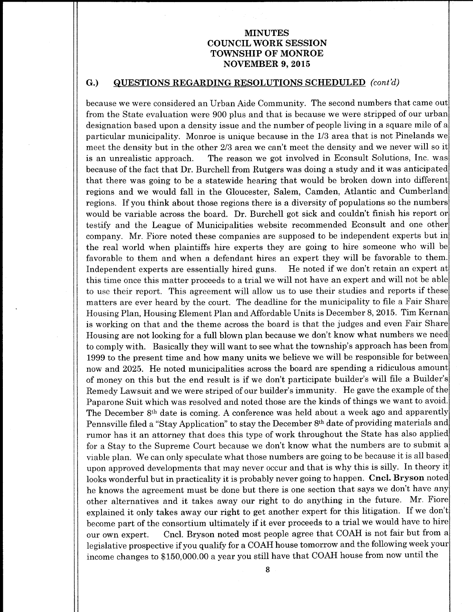#### G.) QUESTIONS REGARDING RESOLUTIONS SCHEDULED (cont'd)

because we were considered an Urban Aide Community. The second numbers that came out from the State evaluation were 900 plus and that is because we were stripped of our urban designation based upon a density issue and the number of people living in a square mile of a particular municipality. Monroe is unique because in the 1/3 area that is not Pinelands we meet the density but in the other 2/3 area we can't meet the density and we never will so it is an unrealistic approach. The reason we got involved in Econsult Solutions, Inc. was because of the fact that Dr. Burchell from Rutgers was doing <sup>a</sup> study and it was anticipated that there was going to be a statewide hearing that would be broken down into different regions and we would fall in the Gloucester, Salem, Camden, Atlantic and Cumberland regions. If you think about those regions there is <sup>a</sup> diversity of populations so the numbers would be variable across the board. Dr. Burchell got sick and couldn't finish his report or testify and the League of Municipalities website recommended Econsult and one other company. Mr. Fiore noted these companies are supposed to be independent experts but in the real world when plaintiffs hire experts they are going to hire someone who will be favorable to them and when a defendant hires an expert they will be favorable to them. Independent experts are essentially hired guns. He noted if we don't retain an expert at this time once this matter proceeds to <sup>a</sup> trial we will not have an expert and will not be able to use their report. This agreement will allow us to use their studies and reports if these matters are ever heard by the court. The deadline for the municipality to file <sup>a</sup> Fair Share Housing Plan, Housing Element Plan and Affordable Units is December 8, 2015. Tim Kernan is working on that and the theme across the board is that the judges and even Fair Share Housing are not looking for <sup>a</sup> full blown plan because we don't know what numbers we need to comply with. Basically they will want to see what the township's approach has been from 1999 to the present time and how many units we believe we will be responsible for between now and 2025. He noted municipalities across the board are spending a ridiculous amount of money on this but the end result is if we don't participate builder's will file <sup>a</sup> Builder's Remedy Lawsuit and we were striped of our builder' <sup>s</sup> immunity. He gave the example of the Paparone Suit which was resolved and noted those are the kinds of things we want to avoid. The December 8th date is coming. A conference was held about a week ago and apparently Pennsville filed a "Stay Application" to stay the December 8<sup>th</sup> date of providing materials and rumor has it an attorney that does this type of work throughout the State has also applied for <sup>a</sup> Stay to the Supreme Court because we don't know what the numbers are to submit <sup>a</sup> viable plan. We can only speculate what those numbers are going to be because it is all based upon approved developments that may never occur and that is why this is silly. In theory it looks wonderful but in practicality it is probably never going to happen. Cncl. Bryson noted he knows the agreement must be done but there is one section that says we don't have any other alternatives and it takes away our right to do anything in the future. Mr, Fiore explained it only takes away our right to get another expert for this litigation. If we don't become part of the consortium ultimately if it ever proceeds to <sup>a</sup> trial we would have to hire our own expert. Cncl. Bryson noted most people agree that COAH is not fair but from a legislative prospective if you qualify for <sup>a</sup> COAH house tomorrow and the following week your income changes to \$ 150,000. 00 a year you still have that COAH house from now until the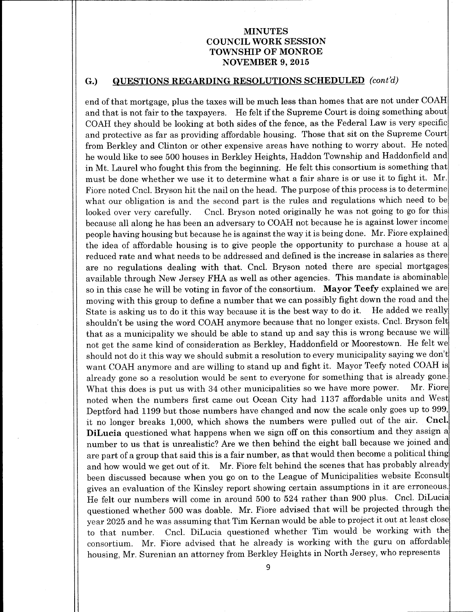### G.) QUESTIONS REGARDING RESOLUTIONS SCHEDULED (cont'd)

end of that mortgage, plus the taxes will be much less than homes that are not under COAH and that is not fair to the taxpayers. He felt if the Supreme Court is doing something about COAH they should be looking at both sides of the fence, as the Federal Law is very specific and protective as far as providing affordable housing. Those that sit on the Supreme Court from Berkley and Clinton or other expensive areas have nothing to worry about. He noted he would like to see 500 houses in Berkley Heights, Haddon Township and Haddonfield and in Mt. Laurel who fought this from the beginning. He felt this consortium is something that must be done whether we use it to determine what <sup>a</sup> fair share is or use it to fight it. Mr. Fiore noted Cncl. Bryson hit the nail on the head. The purpose of this process is to determine what our obligation is and the second part is the rules and regulations which need to be looked over very carefully. Cncl. Bryson noted originally he was not going to go for this because all along he has been an adversary to COAH not because he is against lower income people having housing but because he is against the way it is being done. Mr. Fiore explained the idea of affordable housing is to give people the opportunity to purchase a house at a reduced rate and what needs to be addressed and defined is the increase in salaries as there are no regulations dealing with that. Cncl. Bryson noted there are special mortgages available through New Jersey FHA as well as other agencies. This mandate is abominable so in this case he will be voting in favor of the consortium. Mayor Teefy explained we are moving with this group to define a number that we can possibly fight down the road and the<br>State is asking us to do it this way because it is the best way to do it. He added we really State is asking us to do it this way because it is the best way to do it. shouldn't be using the word COAH anymore because that no longer exists. Cncl. Bryson felt that as <sup>a</sup> municipality we should be able to stand up and say this is wrong because we will not get the same kind of consideration as Berkley, Haddonfield or Moorestown. He felt we should not do it this way we should submit <sup>a</sup> resolution to every municipality saying we don't want COAH anymore and are willing to stand up and fight it. Mayor Teefy noted COAH is already gone so a resolution would be sent to everyone for something that is already gone.<br>What this does is put us with 34 other municipalities so we have more power. Mr. Fiore What this does is put us with 34 other municipalities so we have more power. noted when the numbers first came out Ocean City had 1137 affordable units and West Deptford had 1199 but those numbers have changed and now the scale only goes up to 999, it no longer breaks 1, 000, which shows the numbers were pulled out of the air. Cncl. DiLucia questioned what happens when we sign off on this consortium and they assign a number to us that is unrealistic? Are we then behind the eight ball because we joined and are part of a group that said this is a fair number, as that would then become a political thing and how would we get out of it. Mr. Fiore felt behind the scenes that has probably already been discussed because when you go on to the League of Municipalities website Econsult gives an evaluation of the Kinsley report showing certain assumptions in it are erroneous. He felt our numbers will come in around <sup>500</sup> to <sup>524</sup> rather than 900 plus. Cncl. DiLucia questioned whether 500 was doable. Mr. Fiore advised that will be projected through the year 2025 and he was assuming that Tim Kernan would be able to project it out at least close to that number. Cncl. DiLucia questioned whether Tim would be working with the consortium. Mr. Fiore advised that he already is working with the guru on affordable housing, Mr. Surenian an attorney from Berkley Heights in North Jersey, who represents